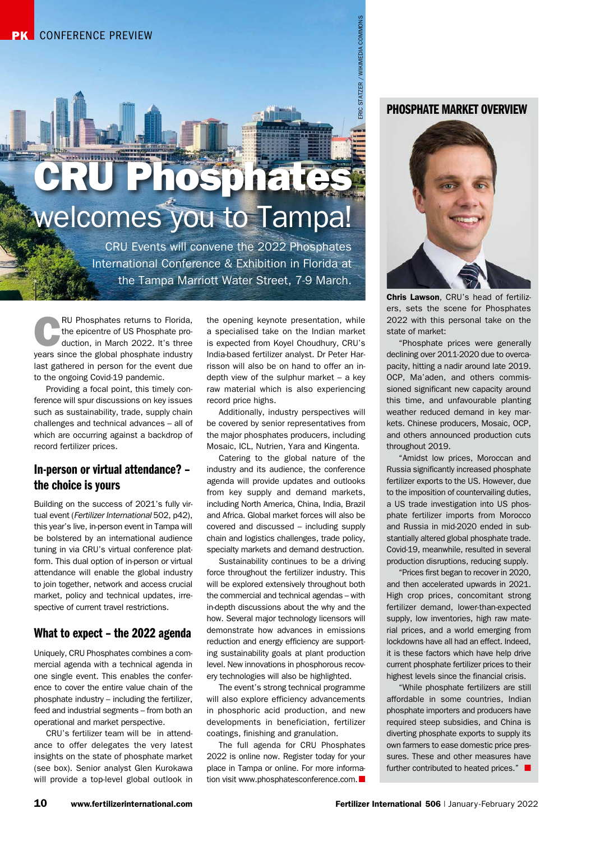# 11 Www.fertilizerinternational.com Fertilizerinternational 506 | January 2022 ERIC STATE COMMONS | JANUARY -FEBRUARY -FEBRUARY -FEBRUARY -FEBRUARY -FEBRUARY -FEBRUARY -FEBRUARY -FEBRUARY -FEBRUARY -FEBRUARY -FEBRUARY -FEBR CRU Phosphates welcomes you to Tampa!

CRU Events will convene the 2022 Phosphates International Conference & Exhibition in Florida at the Tampa Marriott Water Street, 7-9 March.

RU Phosphates returns to Florida,<br>the epicentre of US Phosphate pro-<br>duction, in March 2022. It's three the epicentre of US Phosphate proyears since the global phosphate industry last gathered in person for the event due to the ongoing Covid-19 pandemic.

Providing a focal point, this timely conference will spur discussions on key issues such as sustainability, trade, supply chain challenges and technical advances – all of which are occurring against a backdrop of record fertilizer prices.

# In-person or virtual attendance? – the choice is yours

Building on the success of 2021's fully virtual event (*Fertilizer International* 502, p42), this year's live, in-person event in Tampa will be bolstered by an international audience tuning in via CRU's virtual conference platform. This dual option of in-person or virtual attendance will enable the global industry to join together, network and access crucial market, policy and technical updates, irrespective of current travel restrictions.

# What to expect – the 2022 agenda

Uniquely, CRU Phosphates combines a commercial agenda with a technical agenda in one single event. This enables the conference to cover the entire value chain of the phosphate industry – including the fertilizer, feed and industrial segments – from both an operational and market perspective.

CRU's fertilizer team will be in attendance to offer delegates the very latest insights on the state of phosphate market (see box). Senior analyst Glen Kurokawa will provide a top-level global outlook in

the opening keynote presentation, while a specialised take on the Indian market is expected from Koyel Choudhury, CRU's India-based fertilizer analyst. Dr Peter Harrisson will also be on hand to offer an indepth view of the sulphur market – a key raw material which is also experiencing record price highs.

Additionally, industry perspectives will be covered by senior representatives from the major phosphates producers, including Mosaic, ICL, Nutrien, Yara and Kingenta.

Catering to the global nature of the industry and its audience, the conference agenda will provide updates and outlooks from key supply and demand markets, including North America, China, India, Brazil and Africa. Global market forces will also be covered and discussed – including supply chain and logistics challenges, trade policy, specialty markets and demand destruction.

Sustainability continues to be a driving force throughout the fertilizer industry. This will be explored extensively throughout both the commercial and technical agendas – with in-depth discussions about the why and the how. Several major technology licensors will demonstrate how advances in emissions reduction and energy efficiency are supporting sustainability goals at plant production level. New innovations in phosphorous recovery technologies will also be highlighted.

The event's strong technical programme will also explore efficiency advancements in phosphoric acid production, and new developments in beneficiation, fertilizer coatings, finishing and granulation.

The full agenda for CRU Phosphates 2022 is online now. Register today for your place in Tampa or online. For more information visit [www.phosphatesconference.com](http://www.phosphatesconference.com).

# PHOSPHATE MARKET OVERVIEW



Chris Lawson, CRU's head of fertilizers, sets the scene for Phosphates 2022 with this personal take on the state of market:

"Phosphate prices were generally declining over 2011-2020 due to overcapacity, hitting a nadir around late 2019. OCP, Ma'aden, and others commissioned significant new capacity around this time, and unfavourable planting weather reduced demand in key markets. Chinese producers, Mosaic, OCP, and others announced production cuts throughout 2019.

"Amidst low prices, Moroccan and Russia significantly increased phosphate fertilizer exports to the US. However, due to the imposition of countervailing duties, a US trade investigation into US phosphate fertilizer imports from Morocco and Russia in mid-2020 ended in substantially altered global phosphate trade. Covid-19, meanwhile, resulted in several production disruptions, reducing supply.

"Prices first began to recover in 2020, and then accelerated upwards in 2021. High crop prices, concomitant strong fertilizer demand, lower-than-expected supply, low inventories, high raw material prices, and a world emerging from lockdowns have all had an effect. Indeed, it is these factors which have help drive current phosphate fertilizer prices to their highest levels since the financial crisis.

"While phosphate fertilizers are still affordable in some countries, Indian phosphate importers and producers have required steep subsidies, and China is diverting phosphate exports to supply its own farmers to ease domestic price pressures. These and other measures have further contributed to heated prices."  $\Box$